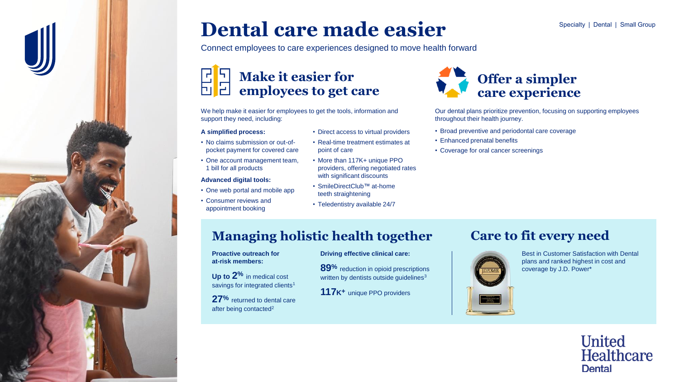# **Dental care made easier**

Connect employees to care experiences designed to move health forward

# **Make it easier for employees to get care**

We help make it easier for employees to get the tools, information and support they need, including:

#### **A simplified process:**

- No claims submission or out-ofpocket payment for covered care
- One account management team, 1 bill for all products

#### **Advanced digital tools:**

- One web portal and mobile app
- Consumer reviews and appointment booking
- Direct access to virtual providers
- Real-time treatment estimates at point of care
- More than 117K+ unique PPO providers, offering negotiated rates with significant discounts

**Driving effective clinical care:**

**117K<sup>+</sup>** unique PPO providers

**89%** reduction in opioid prescriptions written by dentists outside guidelines<sup>3</sup>

- SmileDirectClub™ at-home teeth straightening
- Teledentistry available 24/7



Our dental plans prioritize prevention, focusing on supporting employees throughout their health journey.

- Broad preventive and periodontal care coverage
- Enhanced prenatal benefits
- Coverage for oral cancer screenings

### **Managing holistic health together**

#### **Proactive outreach for at-risk members:**

**Up to 2%** in medical cost savings for integrated clients<sup>1</sup>

**27%** returned to dental care after being contacted<sup>2</sup>

# **Care to fit every need**



Best in Customer Satisfaction with Dental plans and ranked highest in cost and coverage by J.D. Power\*